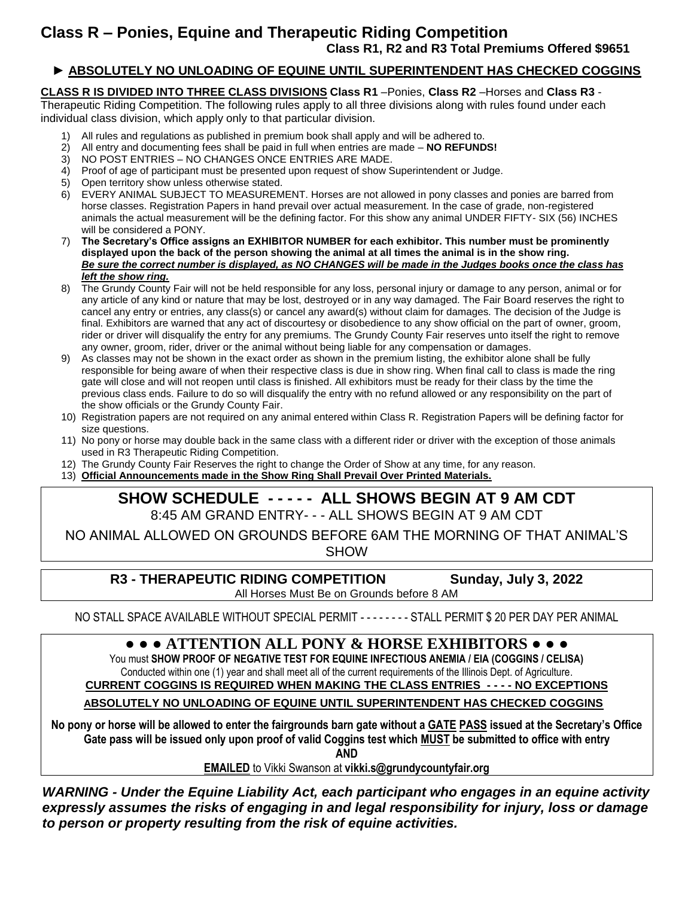#### **► ABSOLUTELY NO UNLOADING OF EQUINE UNTIL SUPERINTENDENT HAS CHECKED COGGINS**

**CLASS R IS DIVIDED INTO THREE CLASS DIVISIONS Class R1** –Ponies, **Class R2** –Horses and **Class R3** -

Therapeutic Riding Competition. The following rules apply to all three divisions along with rules found under each individual class division, which apply only to that particular division.

- 1) All rules and regulations as published in premium book shall apply and will be adhered to.
- 2) All entry and documenting fees shall be paid in full when entries are made **NO REFUNDS!**
- 3) NO POST ENTRIES NO CHANGES ONCE ENTRIES ARE MADE.
- 4) Proof of age of participant must be presented upon request of show Superintendent or Judge.
- 5) Open territory show unless otherwise stated.
- 6) EVERY ANIMAL SUBJECT TO MEASUREMENT. Horses are not allowed in pony classes and ponies are barred from horse classes. Registration Papers in hand prevail over actual measurement. In the case of grade, non-registered animals the actual measurement will be the defining factor. For this show any animal UNDER FIFTY- SIX (56) INCHES will be considered a PONY.
- 7) **The Secretary's Office assigns an EXHIBITOR NUMBER for each exhibitor. This number must be prominently displayed upon the back of the person showing the animal at all times the animal is in the show ring.** *Be sure the correct number is displayed, as NO CHANGES will be made in the Judges books once the class has left the show ring.*
- 8) The Grundy County Fair will not be held responsible for any loss, personal injury or damage to any person, animal or for any article of any kind or nature that may be lost, destroyed or in any way damaged. The Fair Board reserves the right to cancel any entry or entries, any class(s) or cancel any award(s) without claim for damages. The decision of the Judge is final. Exhibitors are warned that any act of discourtesy or disobedience to any show official on the part of owner, groom, rider or driver will disqualify the entry for any premiums. The Grundy County Fair reserves unto itself the right to remove any owner, groom, rider, driver or the animal without being liable for any compensation or damages.
- 9) As classes may not be shown in the exact order as shown in the premium listing, the exhibitor alone shall be fully responsible for being aware of when their respective class is due in show ring. When final call to class is made the ring gate will close and will not reopen until class is finished. All exhibitors must be ready for their class by the time the previous class ends. Failure to do so will disqualify the entry with no refund allowed or any responsibility on the part of the show officials or the Grundy County Fair.
- 10) Registration papers are not required on any animal entered within Class R. Registration Papers will be defining factor for size questions.
- 11) No pony or horse may double back in the same class with a different rider or driver with the exception of those animals used in R3 Therapeutic Riding Competition.
- 12) The Grundy County Fair Reserves the right to change the Order of Show at any time, for any reason.
- 13) **Official Announcements made in the Show Ring Shall Prevail Over Printed Materials.**

#### **SHOW SCHEDULE - - - - - ALL SHOWS BEGIN AT 9 AM CDT** 8:45 AM GRAND ENTRY- - - ALL SHOWS BEGIN AT 9 AM CDT

NO ANIMAL ALLOWED ON GROUNDS BEFORE 6AM THE MORNING OF THAT ANIMAL'S **SHOW** 

**R3 - THERAPEUTIC RIDING COMPETITION Sunday, July 3, 2022**

All Horses Must Be on Grounds before 8 AM

NO STALL SPACE AVAILABLE WITHOUT SPECIAL PERMIT - - - - - - - - STALL PERMIT \$ 20 PER DAY PER ANIMAL

#### **● ● ● ATTENTION ALL PONY & HORSE EXHIBITORS ● ● ●**

You must **SHOW PROOF OF NEGATIVE TEST FOR EQUINE INFECTIOUS ANEMIA / EIA (COGGINS / CELISA)** Conducted within one (1) year and shall meet all of the current requirements of the Illinois Dept. of Agriculture.

**CURRENT COGGINS IS REQUIRED WHEN MAKING THE CLASS ENTRIES - - - - NO EXCEPTIONS**

 **ABSOLUTELY NO UNLOADING OF EQUINE UNTIL SUPERINTENDENT HAS CHECKED COGGINS**

**No pony or horse will be allowed to enter the fairgrounds barn gate without a GATE PASS issued at the Secretary's Office Gate pass will be issued only upon proof of valid Coggins test which MUST be submitted to office with entry AND**

**EMAILED** to Vikki Swanson at **vikki.s@grundycountyfair.org**

*WARNING - Under the Equine Liability Act, each participant who engages in an equine activity expressly assumes the risks of engaging in and legal responsibility for injury, loss or damage to person or property resulting from the risk of equine activities.*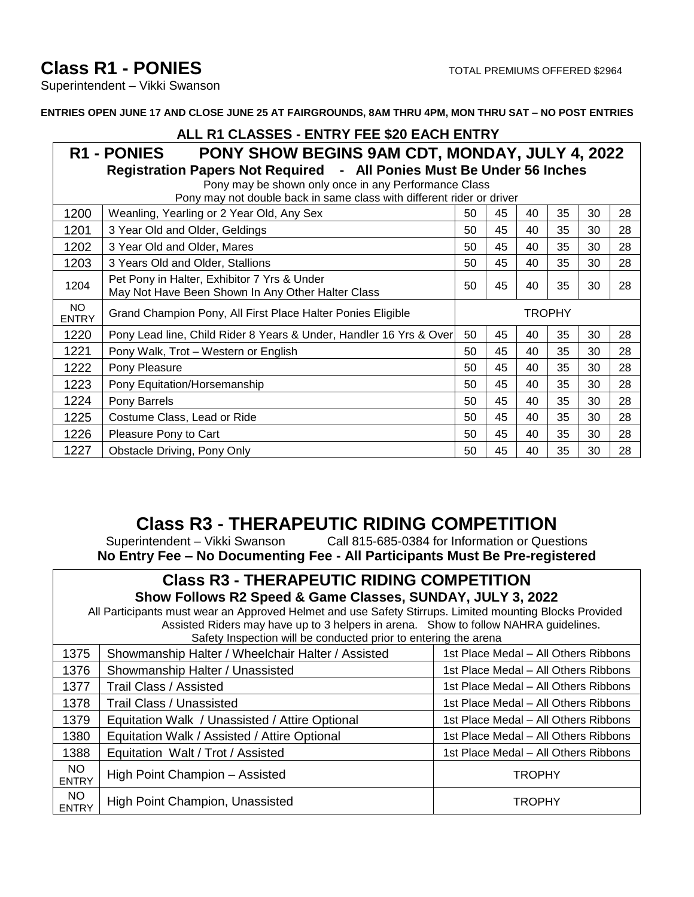# **Class R1 - PONIES** TOTAL PREMIUMS OFFERED \$2964

Superintendent – Vikki Swanson

**ENTRIES OPEN JUNE 17 AND CLOSE JUNE 25 AT FAIRGROUNDS, 8AM THRU 4PM, MON THRU SAT – NO POST ENTRIES**

### **ALL R1 CLASSES - ENTRY FEE \$20 EACH ENTRY**

**R1 - PONIES PONY SHOW BEGINS 9AM CDT, MONDAY, JULY 4, 2022 Registration Papers Not Required - All Ponies Must Be Under 56 Inches**

Pony may be shown only once in any Performance Class

| Pony may not double back in same class with different rider or driver |                                                                                                  |        |    |    |    |    |    |
|-----------------------------------------------------------------------|--------------------------------------------------------------------------------------------------|--------|----|----|----|----|----|
| 1200                                                                  | Weanling, Yearling or 2 Year Old, Any Sex                                                        | 50     | 45 | 40 | 35 | 30 | 28 |
| 1201                                                                  | 3 Year Old and Older, Geldings                                                                   | 50     | 45 | 40 | 35 | 30 | 28 |
| 1202                                                                  | 3 Year Old and Older, Mares                                                                      | 50     | 45 | 40 | 35 | 30 | 28 |
| 1203                                                                  | 3 Years Old and Older, Stallions                                                                 | 50     | 45 | 40 | 35 | 30 | 28 |
| 1204                                                                  | Pet Pony in Halter, Exhibitor 7 Yrs & Under<br>May Not Have Been Shown In Any Other Halter Class | 50     | 45 | 40 | 35 | 30 | 28 |
| NO.<br><b>ENTRY</b>                                                   | Grand Champion Pony, All First Place Halter Ponies Eligible                                      | TROPHY |    |    |    |    |    |
| 1220                                                                  | Pony Lead line, Child Rider 8 Years & Under, Handler 16 Yrs & Over                               | 50     | 45 | 40 | 35 | 30 | 28 |
| 1221                                                                  | Pony Walk, Trot – Western or English                                                             | 50     | 45 | 40 | 35 | 30 | 28 |
| 1222                                                                  | Pony Pleasure                                                                                    | 50     | 45 | 40 | 35 | 30 | 28 |
| 1223                                                                  | Pony Equitation/Horsemanship                                                                     | 50     | 45 | 40 | 35 | 30 | 28 |
| 1224                                                                  | Pony Barrels                                                                                     | 50     | 45 | 40 | 35 | 30 | 28 |
| 1225                                                                  | Costume Class, Lead or Ride                                                                      | 50     | 45 | 40 | 35 | 30 | 28 |
| 1226                                                                  | Pleasure Pony to Cart                                                                            | 50     | 45 | 40 | 35 | 30 | 28 |
| 1227                                                                  | Obstacle Driving, Pony Only                                                                      | 50     | 45 | 40 | 35 | 30 | 28 |

# **Class R3 - THERAPEUTIC RIDING COMPETITION**

Superintendent – Vikki Swanson Call 815-685-0384 for Information or Questions **No Entry Fee – No Documenting Fee - All Participants Must Be Pre-registered**

## **Class R3 - THERAPEUTIC RIDING COMPETITION**

**Show Follows R2 Speed & Game Classes, SUNDAY, JULY 3, 2022**

All Participants must wear an Approved Helmet and use Safety Stirrups. Limited mounting Blocks Provided Assisted Riders may have up to 3 helpers in arena. Show to follow NAHRA guidelines. Safety Inspection will be conducted prior to entering the arena

| Salety inspection will be conducted prior to entering the arena |                                                   |                                      |  |  |  |  |
|-----------------------------------------------------------------|---------------------------------------------------|--------------------------------------|--|--|--|--|
| 1375                                                            | Showmanship Halter / Wheelchair Halter / Assisted | 1st Place Medal - All Others Ribbons |  |  |  |  |
| 1376                                                            | Showmanship Halter / Unassisted                   | 1st Place Medal – All Others Ribbons |  |  |  |  |
| 1377                                                            | <b>Trail Class / Assisted</b>                     | 1st Place Medal - All Others Ribbons |  |  |  |  |
| 1378                                                            | Trail Class / Unassisted                          | 1st Place Medal – All Others Ribbons |  |  |  |  |
| 1379                                                            | Equitation Walk / Unassisted / Attire Optional    | 1st Place Medal – All Others Ribbons |  |  |  |  |
| 1380                                                            | Equitation Walk / Assisted / Attire Optional      | 1st Place Medal - All Others Ribbons |  |  |  |  |
| 1388                                                            | Equitation Walt / Trot / Assisted                 | 1st Place Medal – All Others Ribbons |  |  |  |  |
| NO.<br><b>ENTRY</b>                                             | High Point Champion - Assisted                    | <b>TROPHY</b>                        |  |  |  |  |
| <b>NO</b><br><b>ENTRY</b>                                       | High Point Champion, Unassisted                   | <b>TROPHY</b>                        |  |  |  |  |